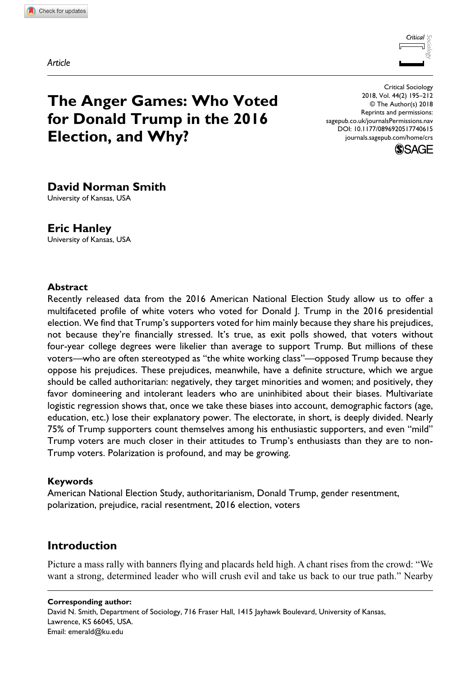*Article*



# **The Anger Games: Who Voted for Donald Trump in the 2016 Election, and Why?**

DOI: 10.1177/0896920517740615 Critical Sociology 2018, Vol. 44(2) 195–212 © The Author(s) 2018 Reprints and permissions: [sagepub.co.uk/journalsPermissions.nav](https://uk.sagepub.com/en-gb/journals-permissions) [journals.sagepub.com/home/crs](https://journals.sagepub.com/home/crs)



# **David Norman Smith**

University of Kansas, USA

# **Eric Hanley**

University of Kansas, USA

### **Abstract**

Recently released data from the 2016 American National Election Study allow us to offer a multifaceted profile of white voters who voted for Donald J. Trump in the 2016 presidential election. We find that Trump's supporters voted for him mainly because they share his prejudices, not because they're financially stressed. It's true, as exit polls showed, that voters without four-year college degrees were likelier than average to support Trump. But millions of these voters—who are often stereotyped as "the white working class"—opposed Trump because they oppose his prejudices. These prejudices, meanwhile, have a definite structure, which we argue should be called authoritarian: negatively, they target minorities and women; and positively, they favor domineering and intolerant leaders who are uninhibited about their biases. Multivariate logistic regression shows that, once we take these biases into account, demographic factors (age, education, etc.) lose their explanatory power. The electorate, in short, is deeply divided. Nearly 75% of Trump supporters count themselves among his enthusiastic supporters, and even "mild" Trump voters are much closer in their attitudes to Trump's enthusiasts than they are to non-Trump voters. Polarization is profound, and may be growing.

#### **Keywords**

American National Election Study, authoritarianism, Donald Trump, gender resentment, polarization, prejudice, racial resentment, 2016 election, voters

# **Introduction**

Picture a mass rally with banners flying and placards held high. A chant rises from the crowd: "We want a strong, determined leader who will crush evil and take us back to our true path." Nearby

#### **Corresponding author:**

David N. Smith, Department of Sociology, 716 Fraser Hall, 1415 Jayhawk Boulevard, University of Kansas, Lawrence, KS 66045, USA. Email: [emerald@ku.edu](mailto:emerald@ku.edu)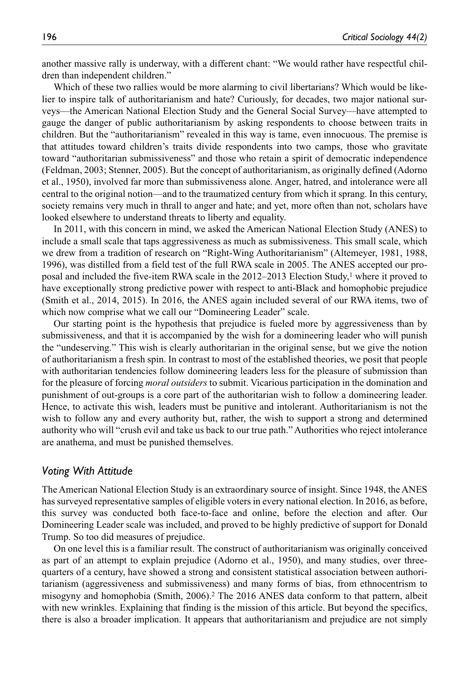another massive rally is underway, with a different chant: "We would rather have respectful children than independent children."

Which of these two rallies would be more alarming to civil libertarians? Which would be likelier to inspire talk of authoritarianism and hate? Curiously, for decades, two major national surveys—the American National Election Study and the General Social Survey—have attempted to gauge the danger of public authoritarianism by asking respondents to choose between traits in children. But the "authoritarianism" revealed in this way is tame, even innocuous. The premise is that attitudes toward children's traits divide respondents into two camps, those who gravitate toward "authoritarian submissiveness" and those who retain a spirit of democratic independence (Feldman, 2003; Stenner, 2005). But the concept of authoritarianism, as originally defined (Adorno et al., 1950), involved far more than submissiveness alone. Anger, hatred, and intolerance were all central to the original notion—and to the traumatized century from which it sprang. In this century, society remains very much in thrall to anger and hate; and yet, more often than not, scholars have looked elsewhere to understand threats to liberty and equality.

In 2011, with this concern in mind, we asked the American National Election Study (ANES) to include a small scale that taps aggressiveness as much as submissiveness. This small scale, which we drew from a tradition of research on "Right-Wing Authoritarianism" (Altemeyer, 1981, 1988, 1996), was distilled from a field test of the full RWA scale in 2005. The ANES accepted our proposal and included the five-item RWA scale in the 2012–2013 Election Study,1 where it proved to have exceptionally strong predictive power with respect to anti-Black and homophobic prejudice (Smith et al., 2014, 2015). In 2016, the ANES again included several of our RWA items, two of which now comprise what we call our "Domineering Leader" scale.

Our starting point is the hypothesis that prejudice is fueled more by aggressiveness than by submissiveness, and that it is accompanied by the wish for a domineering leader who will punish the "undeserving." This wish is clearly authoritarian in the original sense, but we give the notion of authoritarianism a fresh spin. In contrast to most of the established theories, we posit that people with authoritarian tendencies follow domineering leaders less for the pleasure of submission than for the pleasure of forcing *moral outsiders* to submit. Vicarious participation in the domination and punishment of out-groups is a core part of the authoritarian wish to follow a domineering leader. Hence, to activate this wish, leaders must be punitive and intolerant. Authoritarianism is not the wish to follow any and every authority but, rather, the wish to support a strong and determined authority who will "crush evil and take us back to our true path." Authorities who reject intolerance are anathema, and must be punished themselves.

#### *Voting With Attitude*

The American National Election Study is an extraordinary source of insight. Since 1948, the ANES has surveyed representative samples of eligible voters in every national election. In 2016, as before, this survey was conducted both face-to-face and online, before the election and after. Our Domineering Leader scale was included, and proved to be highly predictive of support for Donald Trump. So too did measures of prejudice.

On one level this is a familiar result. The construct of authoritarianism was originally conceived as part of an attempt to explain prejudice (Adorno et al., 1950), and many studies, over threequarters of a century, have showed a strong and consistent statistical association between authoritarianism (aggressiveness and submissiveness) and many forms of bias, from ethnocentrism to misogyny and homophobia (Smith, 2006).2 The 2016 ANES data conform to that pattern, albeit with new wrinkles. Explaining that finding is the mission of this article. But beyond the specifics, there is also a broader implication. It appears that authoritarianism and prejudice are not simply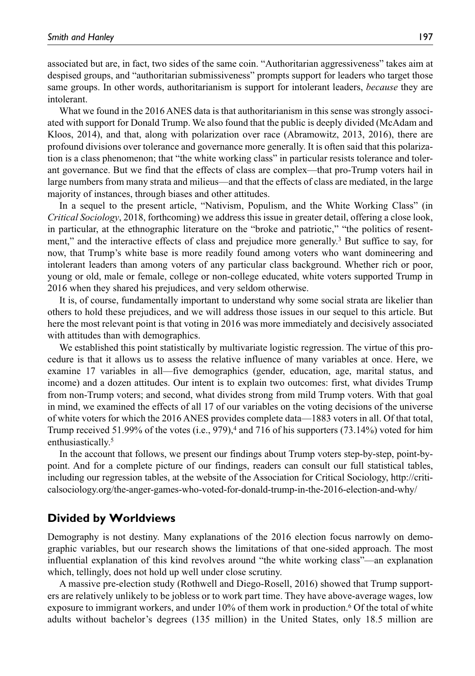associated but are, in fact, two sides of the same coin. "Authoritarian aggressiveness" takes aim at despised groups, and "authoritarian submissiveness" prompts support for leaders who target those same groups. In other words, authoritarianism is support for intolerant leaders, *because* they are intolerant.

What we found in the 2016 ANES data is that authoritarianism in this sense was strongly associated with support for Donald Trump. We also found that the public is deeply divided (McAdam and Kloos, 2014), and that, along with polarization over race (Abramowitz, 2013, 2016), there are profound divisions over tolerance and governance more generally. It is often said that this polarization is a class phenomenon; that "the white working class" in particular resists tolerance and tolerant governance. But we find that the effects of class are complex—that pro-Trump voters hail in large numbers from many strata and milieus—and that the effects of class are mediated, in the large majority of instances, through biases and other attitudes.

In a sequel to the present article, "Nativism, Populism, and the White Working Class" (in *Critical Sociology*, 2018, forthcoming) we address this issue in greater detail, offering a close look, in particular, at the ethnographic literature on the "broke and patriotic," "the politics of resentment," and the interactive effects of class and prejudice more generally.3 But suffice to say, for now, that Trump's white base is more readily found among voters who want domineering and intolerant leaders than among voters of any particular class background. Whether rich or poor, young or old, male or female, college or non-college educated, white voters supported Trump in 2016 when they shared his prejudices, and very seldom otherwise.

It is, of course, fundamentally important to understand why some social strata are likelier than others to hold these prejudices, and we will address those issues in our sequel to this article. But here the most relevant point is that voting in 2016 was more immediately and decisively associated with attitudes than with demographics.

We established this point statistically by multivariate logistic regression. The virtue of this procedure is that it allows us to assess the relative influence of many variables at once. Here, we examine 17 variables in all—five demographics (gender, education, age, marital status, and income) and a dozen attitudes. Our intent is to explain two outcomes: first, what divides Trump from non-Trump voters; and second, what divides strong from mild Trump voters. With that goal in mind, we examined the effects of all 17 of our variables on the voting decisions of the universe of white voters for which the 2016 ANES provides complete data—1883 voters in all. Of that total, Trump received 51.99% of the votes  $(i.e., 979),4$  and 716 of his supporters (73.14%) voted for him enthusiastically.<sup>5</sup>

In the account that follows, we present our findings about Trump voters step-by-step, point-bypoint. And for a complete picture of our findings, readers can consult our full statistical tables, including our regression tables, at the website of the Association for Critical Sociology, [http://criti](http://criticalsociology.org/the-anger-games-who-voted-for-donald-trump-in-the-2016-election-and-why/)[calsociology.org/the-anger-games-who-voted-for-donald-trump-in-the-2016-election-and-why/](http://criticalsociology.org/the-anger-games-who-voted-for-donald-trump-in-the-2016-election-and-why/)

# **Divided by Worldviews**

Demography is not destiny. Many explanations of the 2016 election focus narrowly on demographic variables, but our research shows the limitations of that one-sided approach. The most influential explanation of this kind revolves around "the white working class"—an explanation which, tellingly, does not hold up well under close scrutiny.

A massive pre-election study (Rothwell and Diego-Rosell, 2016) showed that Trump supporters are relatively unlikely to be jobless or to work part time. They have above-average wages, low exposure to immigrant workers, and under 10% of them work in production.<sup>6</sup> Of the total of white adults without bachelor's degrees (135 million) in the United States, only 18.5 million are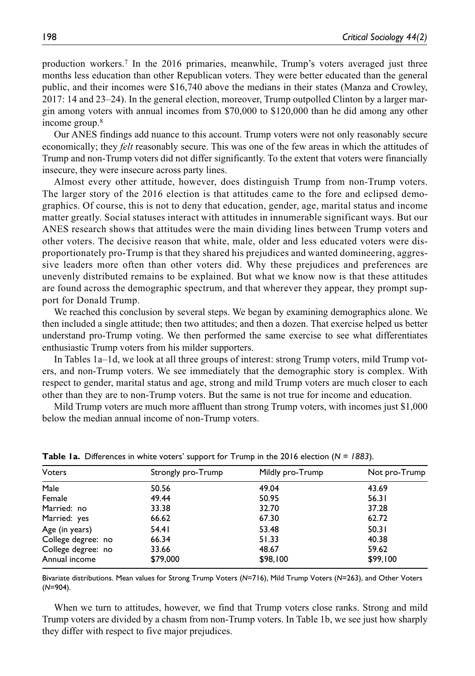production workers.7 In the 2016 primaries, meanwhile, Trump's voters averaged just three months less education than other Republican voters. They were better educated than the general public, and their incomes were \$16,740 above the medians in their states (Manza and Crowley, 2017: 14 and 23–24). In the general election, moreover, Trump outpolled Clinton by a larger margin among voters with annual incomes from \$70,000 to \$120,000 than he did among any other income group.8

Our ANES findings add nuance to this account. Trump voters were not only reasonably secure economically; they *felt* reasonably secure. This was one of the few areas in which the attitudes of Trump and non-Trump voters did not differ significantly. To the extent that voters were financially insecure, they were insecure across party lines.

Almost every other attitude, however, does distinguish Trump from non-Trump voters. The larger story of the 2016 election is that attitudes came to the fore and eclipsed demographics. Of course, this is not to deny that education, gender, age, marital status and income matter greatly. Social statuses interact with attitudes in innumerable significant ways. But our ANES research shows that attitudes were the main dividing lines between Trump voters and other voters. The decisive reason that white, male, older and less educated voters were disproportionately pro-Trump is that they shared his prejudices and wanted domineering, aggressive leaders more often than other voters did. Why these prejudices and preferences are unevenly distributed remains to be explained. But what we know now is that these attitudes are found across the demographic spectrum, and that wherever they appear, they prompt support for Donald Trump.

We reached this conclusion by several steps. We began by examining demographics alone. We then included a single attitude; then two attitudes; and then a dozen. That exercise helped us better understand pro-Trump voting. We then performed the same exercise to see what differentiates enthusiastic Trump voters from his milder supporters.

In Tables 1a–1d, we look at all three groups of interest: strong Trump voters, mild Trump voters, and non-Trump voters. We see immediately that the demographic story is complex. With respect to gender, marital status and age, strong and mild Trump voters are much closer to each other than they are to non-Trump voters. But the same is not true for income and education.

Mild Trump voters are much more affluent than strong Trump voters, with incomes just \$1,000 below the median annual income of non-Trump voters.

| <b>Voters</b>      | Strongly pro-Trump | Mildly pro-Trump | Not pro-Trump |  |
|--------------------|--------------------|------------------|---------------|--|
| Male               | 50.56              | 49.04            | 43.69         |  |
| Female             | 49.44              | 50.95            | 56.31         |  |
| Married: no        | 33.38              | 32.70            | 37.28         |  |
| Married: yes       | 66.62              | 67.30            | 62.72         |  |
| Age (in years)     | 54.41              | 53.48            | 50.31         |  |
| College degree: no | 66.34              | 51.33            | 40.38         |  |
| College degree: no | 33.66              | 48.67            | 59.62         |  |
| Annual income      | \$79,000           | \$98,100         | \$99,100      |  |

**Table 1a.** Differences in white voters' support for Trump in the 2016 election (*N* = *1883*).

Bivariate distributions. Mean values for Strong Trump Voters (*N*=716), Mild Trump Voters (*N*=263), and Other Voters (*N*=904).

When we turn to attitudes, however, we find that Trump voters close ranks. Strong and mild Trump voters are divided by a chasm from non-Trump voters. In Table 1b, we see just how sharply they differ with respect to five major prejudices.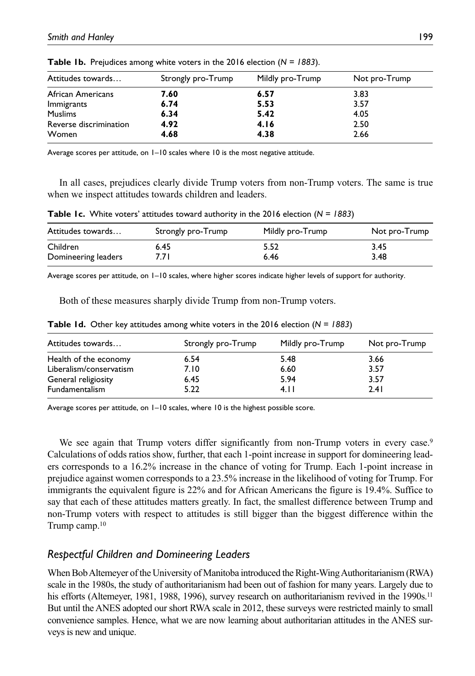| Attitudes towards      | Strongly pro-Trump | Mildly pro-Trump | Not pro-Trump |
|------------------------|--------------------|------------------|---------------|
| African Americans      | 7.60               | 6.57             | 3.83          |
| Immigrants             | 6.74               | 5.53             | 3.57          |
| <b>Muslims</b>         | 6.34               | 5.42             | 4.05          |
| Reverse discrimination | 4.92               | 4.16             | 2.50          |
| Women                  | 4.68               | 4.38             | 2.66          |

**Table 1b.** Prejudices among white voters in the 2016 election (*N = 1883*).

Average scores per attitude, on 1–10 scales where 10 is the most negative attitude.

In all cases, prejudices clearly divide Trump voters from non-Trump voters. The same is true when we inspect attitudes towards children and leaders.

**Table 1c.** White voters' attitudes toward authority in the 2016 election (*N = 1883*)

| Attitudes towards   | Strongly pro-Trump | Mildly pro-Trump | Not pro-Trump |
|---------------------|--------------------|------------------|---------------|
| Children            | 6.45               | 5.52             | 3.45          |
| Domineering leaders | 7.7 I              | 6.46             | 3.48          |

Average scores per attitude, on 1–10 scales, where higher scores indicate higher levels of support for authority.

Both of these measures sharply divide Trump from non-Trump voters.

| Attitudes towards       | Strongly pro-Trump | Mildly pro-Trump | Not pro-Trump |
|-------------------------|--------------------|------------------|---------------|
| Health of the economy   | 6.54               | 5.48             | 3.66          |
| Liberalism/conservatism | 7.10               | 6.60             | 3.57          |
| General religiosity     | 6.45               | 5.94             | 3.57          |
| <b>Fundamentalism</b>   | 5.22               | 4.11             | 2.41          |

**Table 1d.** Other key attitudes among white voters in the 2016 election (*N = 1883*)

Average scores per attitude, on 1–10 scales, where 10 is the highest possible score.

We see again that Trump voters differ significantly from non-Trump voters in every case.<sup>9</sup> Calculations of odds ratios show, further, that each 1-point increase in support for domineering leaders corresponds to a 16.2% increase in the chance of voting for Trump. Each 1-point increase in prejudice against women corresponds to a 23.5% increase in the likelihood of voting for Trump. For immigrants the equivalent figure is 22% and for African Americans the figure is 19.4%. Suffice to say that each of these attitudes matters greatly. In fact, the smallest difference between Trump and non-Trump voters with respect to attitudes is still bigger than the biggest difference within the Trump camp.10

# *Respectful Children and Domineering Leaders*

When Bob Altemeyer of the University of Manitoba introduced the Right-Wing Authoritarianism (RWA) scale in the 1980s, the study of authoritarianism had been out of fashion for many years. Largely due to his efforts (Altemeyer, 1981, 1988, 1996), survey research on authoritarianism revived in the 1990s.<sup>11</sup> But until the ANES adopted our short RWA scale in 2012, these surveys were restricted mainly to small convenience samples. Hence, what we are now learning about authoritarian attitudes in the ANES surveys is new and unique.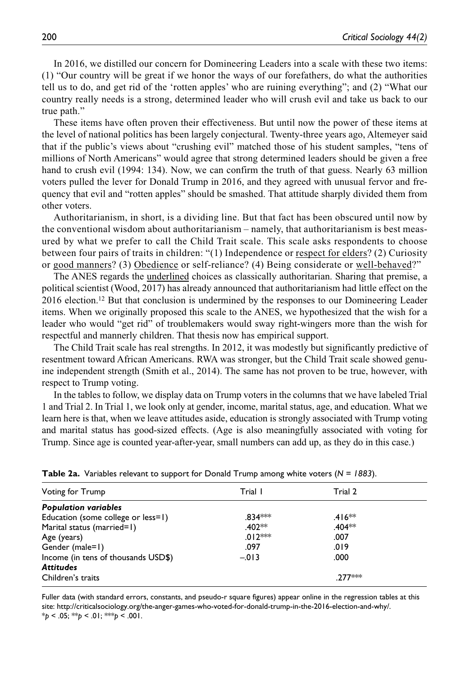In 2016, we distilled our concern for Domineering Leaders into a scale with these two items: (1) "Our country will be great if we honor the ways of our forefathers, do what the authorities tell us to do, and get rid of the 'rotten apples' who are ruining everything"; and (2) "What our country really needs is a strong, determined leader who will crush evil and take us back to our true path."

These items have often proven their effectiveness. But until now the power of these items at the level of national politics has been largely conjectural. Twenty-three years ago, Altemeyer said that if the public's views about "crushing evil" matched those of his student samples, "tens of millions of North Americans" would agree that strong determined leaders should be given a free hand to crush evil (1994: 134). Now, we can confirm the truth of that guess. Nearly 63 million voters pulled the lever for Donald Trump in 2016, and they agreed with unusual fervor and frequency that evil and "rotten apples" should be smashed. That attitude sharply divided them from other voters.

Authoritarianism, in short, is a dividing line. But that fact has been obscured until now by the conventional wisdom about authoritarianism – namely, that authoritarianism is best measured by what we prefer to call the Child Trait scale. This scale asks respondents to choose between four pairs of traits in children: "(1) Independence or respect for elders? (2) Curiosity or good manners? (3) Obedience or self-reliance? (4) Being considerate or well-behaved?"

The ANES regards the underlined choices as classically authoritarian. Sharing that premise, a political scientist (Wood, 2017) has already announced that authoritarianism had little effect on the 2016 election.12 But that conclusion is undermined by the responses to our Domineering Leader items. When we originally proposed this scale to the ANES, we hypothesized that the wish for a leader who would "get rid" of troublemakers would sway right-wingers more than the wish for respectful and mannerly children. That thesis now has empirical support.

The Child Trait scale has real strengths. In 2012, it was modestly but significantly predictive of resentment toward African Americans. RWA was stronger, but the Child Trait scale showed genuine independent strength (Smith et al., 2014). The same has not proven to be true, however, with respect to Trump voting.

In the tables to follow, we display data on Trump voters in the columns that we have labeled Trial 1 and Trial 2. In Trial 1, we look only at gender, income, marital status, age, and education. What we learn here is that, when we leave attitudes aside, education is strongly associated with Trump voting and marital status has good-sized effects. (Age is also meaningfully associated with voting for Trump. Since age is counted year-after-year, small numbers can add up, as they do in this case.)

| Voting for Trump                    | Trial I   | Trial 2  |  |
|-------------------------------------|-----------|----------|--|
| <b>Population variables</b>         |           |          |  |
| Education (some college or less=1)  | $.834***$ | $.416**$ |  |
| Marital status (married=1)          | $.402**$  | $.404**$ |  |
| Age (years)                         | $.012***$ | .007     |  |
| Gender (male=1)                     | .097      | .019     |  |
| Income (in tens of thousands USD\$) | $-013$    | .000     |  |
| <b>Attitudes</b>                    |           |          |  |
| Children's traits                   |           | $277***$ |  |
|                                     |           |          |  |

|  |  |  |  |  |  | Table 2a. Variables relevant to support for Donald Trump among white voters ( $N = 1883$ ). |  |  |  |
|--|--|--|--|--|--|---------------------------------------------------------------------------------------------|--|--|--|
|--|--|--|--|--|--|---------------------------------------------------------------------------------------------|--|--|--|

Fuller data (with standard errors, constants, and pseudo-r square figures) appear online in the regression tables at this site: [http://criticalsociology.org/the-anger-games-who-voted-for-donald-trump-in-the-2016-election-and-why/.](http://criticalsociology.org/the-anger-games-who-voted-for-donald-trump-in-the-2016-election-and-why/)  $*_{p}$  < .05;  $*_{p}$  < .01;  $*_{p}$  < .001.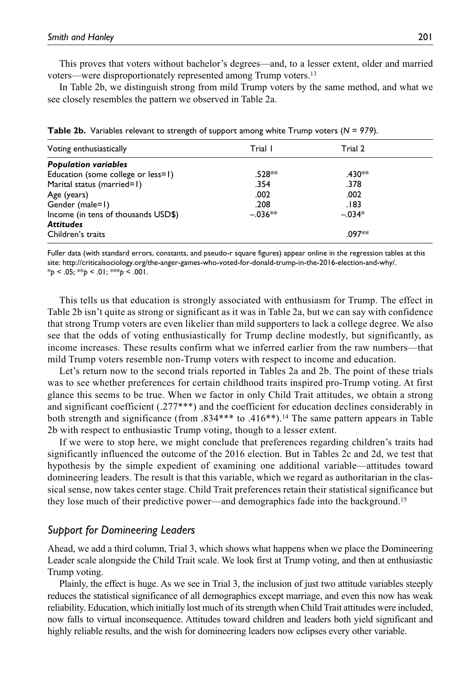This proves that voters without bachelor's degrees—and, to a lesser extent, older and married voters—were disproportionately represented among Trump voters.13

In Table 2b, we distinguish strong from mild Trump voters by the same method, and what we see closely resembles the pattern we observed in Table 2a.

| Voting enthusiastically             | Trial I   | Trial 2            |  |
|-------------------------------------|-----------|--------------------|--|
| <b>Population variables</b>         |           |                    |  |
| Education (some college or less=1)  | .528**    | .430 <sup>**</sup> |  |
| Marital status (married=1)          | .354      | .378               |  |
| Age (years)                         | .002      | .002               |  |
| Gender (male=1)                     | .208      | . 183              |  |
| Income (in tens of thousands USD\$) | $-.036**$ | $-.034*$           |  |
| <b>Attitudes</b>                    |           |                    |  |
| Children's traits                   |           | .097**             |  |

**Table 2b.** Variables relevant to strength of support among white Trump voters (*N = 979*).

Fuller data (with standard errors, constants, and pseudo-r square figures) appear online in the regression tables at this site: [http://criticalsociology.org/the-anger-games-who-voted-for-donald-trump-in-the-2016-election-and-why/.](http://criticalsociology.org/the-anger-games-who-voted-for-donald-trump-in-the-2016-election-and-why/) \**p* < .05; \*\**p* < .01; \*\*\**p* < .001.

This tells us that education is strongly associated with enthusiasm for Trump. The effect in Table 2b isn't quite as strong or significant as it was in Table 2a, but we can say with confidence that strong Trump voters are even likelier than mild supporters to lack a college degree. We also see that the odds of voting enthusiastically for Trump decline modestly, but significantly, as income increases. These results confirm what we inferred earlier from the raw numbers—that mild Trump voters resemble non-Trump voters with respect to income and education.

Let's return now to the second trials reported in Tables 2a and 2b. The point of these trials was to see whether preferences for certain childhood traits inspired pro-Trump voting. At first glance this seems to be true. When we factor in only Child Trait attitudes, we obtain a strong and significant coefficient (.277\*\*\*) and the coefficient for education declines considerably in both strength and significance (from .834\*\*\* to .416\*\*).14 The same pattern appears in Table 2b with respect to enthusiastic Trump voting, though to a lesser extent.

If we were to stop here, we might conclude that preferences regarding children's traits had significantly influenced the outcome of the 2016 election. But in Tables 2c and 2d, we test that hypothesis by the simple expedient of examining one additional variable—attitudes toward domineering leaders. The result is that this variable, which we regard as authoritarian in the classical sense, now takes center stage. Child Trait preferences retain their statistical significance but they lose much of their predictive power—and demographics fade into the background.15

## *Support for Domineering Leaders*

Ahead, we add a third column, Trial 3, which shows what happens when we place the Domineering Leader scale alongside the Child Trait scale. We look first at Trump voting, and then at enthusiastic Trump voting.

Plainly, the effect is huge. As we see in Trial 3, the inclusion of just two attitude variables steeply reduces the statistical significance of all demographics except marriage, and even this now has weak reliability. Education, which initially lost much of its strength when Child Trait attitudes were included, now falls to virtual inconsequence. Attitudes toward children and leaders both yield significant and highly reliable results, and the wish for domineering leaders now eclipses every other variable.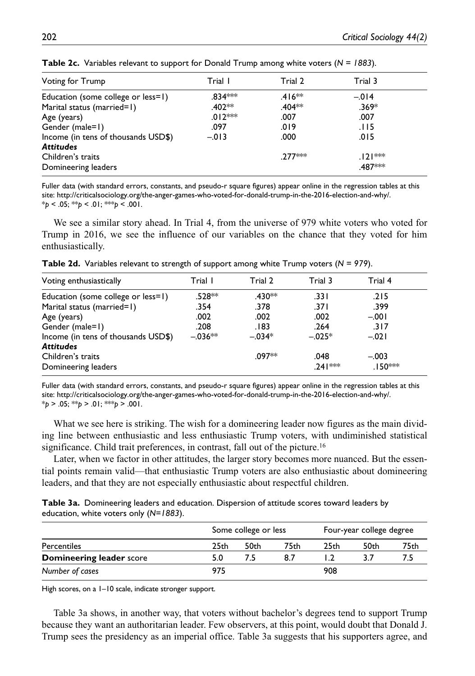| Voting for Trump                    | Trial I   | Trial 2  | Trial 3   |  |
|-------------------------------------|-----------|----------|-----------|--|
| Education (some college or less=1)  | $.834***$ | $.416**$ | $-014$    |  |
| Marital status (married=1)          | $.402**$  | $.404**$ | $.369*$   |  |
| Age (years)                         | $.012***$ | .007     | .007      |  |
| Gender (male=1)                     | .097      | .019     | .115      |  |
| Income (in tens of thousands USD\$) | $-013$    | .000     | .015      |  |
| <b>Attitudes</b>                    |           |          |           |  |
| Children's traits                   |           | .277***  | $.121***$ |  |
| Domineering leaders                 |           |          | .487***   |  |
|                                     |           |          |           |  |

**Table 2c.** Variables relevant to support for Donald Trump among white voters (*N = 1883*).

Fuller data (with standard errors, constants, and pseudo-r square figures) appear online in the regression tables at this site: [http://criticalsociology.org/the-anger-games-who-voted-for-donald-trump-in-the-2016-election-and-why/.](http://criticalsociology.org/the-anger-games-who-voted-for-donald-trump-in-the-2016-election-and-why/)  $*_{p}$  < .05;  $*_{p}$  < .01;  $*_{p}$  < .001.

We see a similar story ahead. In Trial 4, from the universe of 979 white voters who voted for Trump in 2016, we see the influence of our variables on the chance that they voted for him enthusiastically.

| <b>Table 2d.</b> Variables relevant to strength of support among white Trump voters ( $N = 979$ ). |  |  |  |
|----------------------------------------------------------------------------------------------------|--|--|--|
|----------------------------------------------------------------------------------------------------|--|--|--|

| Voting enthusiastically             | Trial I   | Trial 2  | Trial 3   | Trial 4              |
|-------------------------------------|-----------|----------|-----------|----------------------|
| Education (some college or less=1)  | .528**    | $.430**$ | ا 33.     | .215                 |
| Marital status (married=1)          | .354      | .378     | .371      | .399                 |
| Age (years)                         | .002      | .002     | .002      | $-.001$              |
| Gender (male=1)                     | .208      | 183.     | .264      | .317                 |
| Income (in tens of thousands USD\$) | $-.036**$ | $-.034*$ | $-.025*$  | $-.021$              |
| <b>Attitudes</b>                    |           |          |           |                      |
| Children's traits                   |           | .097**   | .048      | $-.003$              |
| Domineering leaders                 |           |          | $.241***$ | .150 <sup>≉≉</sup> * |

Fuller data (with standard errors, constants, and pseudo-r square figures) appear online in the regression tables at this site: [http://criticalsociology.org/the-anger-games-who-voted-for-donald-trump-in-the-2016-election-and-why/.](http://criticalsociology.org/the-anger-games-who-voted-for-donald-trump-in-the-2016-election-and-why/) \**p* > .05; \*\**p* > .01; \*\*\**p* > .001.

What we see here is striking. The wish for a domineering leader now figures as the main dividing line between enthusiastic and less enthusiastic Trump voters, with undiminished statistical significance. Child trait preferences, in contrast, fall out of the picture.<sup>16</sup>

Later, when we factor in other attitudes, the larger story becomes more nuanced. But the essential points remain valid—that enthusiastic Trump voters are also enthusiastic about domineering leaders, and that they are not especially enthusiastic about respectful children.

|                                           |  | Table 3a. Domineering leaders and education. Dispersion of attitude scores toward leaders by |
|-------------------------------------------|--|----------------------------------------------------------------------------------------------|
| education, white voters only $(N=1883)$ . |  |                                                                                              |

|                                 | Some college or less |             |      | Four-year college degree |      |      |
|---------------------------------|----------------------|-------------|------|--------------------------|------|------|
| <b>Percentiles</b>              | 25 <sub>th</sub>     | 50th        | 75th | 25th                     | 50th | 75th |
| <b>Domineering leader score</b> | 5.0                  | $^{\prime}$ | 8.7  |                          |      |      |
| Number of cases                 | 975                  |             |      | 908                      |      |      |

High scores, on a 1-10 scale, indicate stronger support.

Table 3a shows, in another way, that voters without bachelor's degrees tend to support Trump because they want an authoritarian leader. Few observers, at this point, would doubt that Donald J. Trump sees the presidency as an imperial office. Table 3a suggests that his supporters agree, and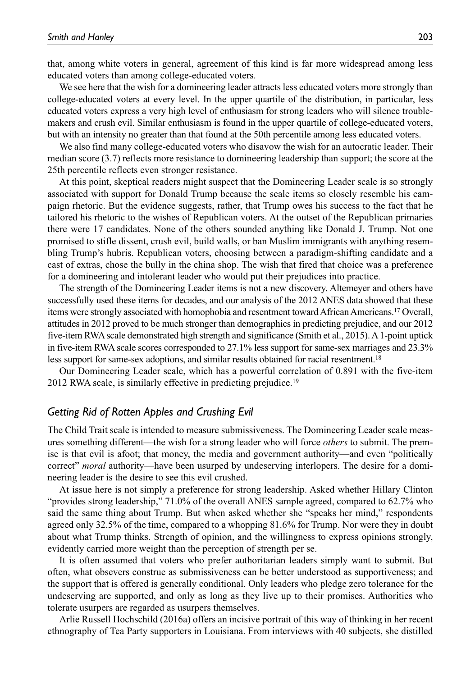that, among white voters in general, agreement of this kind is far more widespread among less educated voters than among college-educated voters.

We see here that the wish for a domineering leader attracts less educated voters more strongly than college-educated voters at every level. In the upper quartile of the distribution, in particular, less educated voters express a very high level of enthusiasm for strong leaders who will silence troublemakers and crush evil. Similar enthusiasm is found in the upper quartile of college-educated voters, but with an intensity no greater than that found at the 50th percentile among less educated voters.

We also find many college-educated voters who disavow the wish for an autocratic leader. Their median score (3.7) reflects more resistance to domineering leadership than support; the score at the 25th percentile reflects even stronger resistance.

At this point, skeptical readers might suspect that the Domineering Leader scale is so strongly associated with support for Donald Trump because the scale items so closely resemble his campaign rhetoric. But the evidence suggests, rather, that Trump owes his success to the fact that he tailored his rhetoric to the wishes of Republican voters. At the outset of the Republican primaries there were 17 candidates. None of the others sounded anything like Donald J. Trump. Not one promised to stifle dissent, crush evil, build walls, or ban Muslim immigrants with anything resembling Trump's hubris. Republican voters, choosing between a paradigm-shifting candidate and a cast of extras, chose the bully in the china shop. The wish that fired that choice was a preference for a domineering and intolerant leader who would put their prejudices into practice.

The strength of the Domineering Leader items is not a new discovery. Altemeyer and others have successfully used these items for decades, and our analysis of the 2012 ANES data showed that these items were strongly associated with homophobia and resentment toward African Americans.17 Overall, attitudes in 2012 proved to be much stronger than demographics in predicting prejudice, and our 2012 five-item RWA scale demonstrated high strength and significance (Smith et al., 2015). A 1-point uptick in five-item RWA scale scores corresponded to 27.1% less support for same-sex marriages and 23.3% less support for same-sex adoptions, and similar results obtained for racial resentment.<sup>18</sup>

Our Domineering Leader scale, which has a powerful correlation of 0.891 with the five-item 2012 RWA scale, is similarly effective in predicting prejudice.19

## *Getting Rid of Rotten Apples and Crushing Evil*

The Child Trait scale is intended to measure submissiveness. The Domineering Leader scale measures something different—the wish for a strong leader who will force *others* to submit. The premise is that evil is afoot; that money, the media and government authority—and even "politically correct" *moral* authority—have been usurped by undeserving interlopers. The desire for a domineering leader is the desire to see this evil crushed.

At issue here is not simply a preference for strong leadership. Asked whether Hillary Clinton "provides strong leadership," 71.0% of the overall ANES sample agreed, compared to 62.7% who said the same thing about Trump. But when asked whether she "speaks her mind," respondents agreed only 32.5% of the time, compared to a whopping 81.6% for Trump. Nor were they in doubt about what Trump thinks. Strength of opinion, and the willingness to express opinions strongly, evidently carried more weight than the perception of strength per se.

It is often assumed that voters who prefer authoritarian leaders simply want to submit. But often, what obsevers construe as submissiveness can be better understood as supportiveness; and the support that is offered is generally conditional. Only leaders who pledge zero tolerance for the undeserving are supported, and only as long as they live up to their promises. Authorities who tolerate usurpers are regarded as usurpers themselves.

Arlie Russell Hochschild (2016a) offers an incisive portrait of this way of thinking in her recent ethnography of Tea Party supporters in Louisiana. From interviews with 40 subjects, she distilled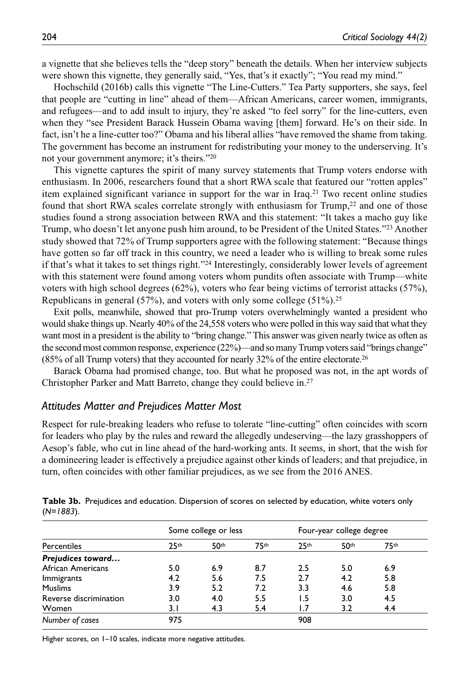a vignette that she believes tells the "deep story" beneath the details. When her interview subjects were shown this vignette, they generally said, "Yes, that's it exactly"; "You read my mind."

Hochschild (2016b) calls this vignette "The Line-Cutters." Tea Party supporters, she says, feel that people are "cutting in line" ahead of them—African Americans, career women, immigrants, and refugees—and to add insult to injury, they're asked "to feel sorry" for the line-cutters, even when they "see President Barack Hussein Obama waving [them] forward. He's on their side. In fact, isn't he a line-cutter too?" Obama and his liberal allies "have removed the shame from taking. The government has become an instrument for redistributing your money to the underserving. It's not your government anymore; it's theirs."20

This vignette captures the spirit of many survey statements that Trump voters endorse with enthusiasm. In 2006, researchers found that a short RWA scale that featured our "rotten apples" item explained significant variance in support for the war in Iraq.21 Two recent online studies found that short RWA scales correlate strongly with enthusiasm for Trump,<sup>22</sup> and one of those studies found a strong association between RWA and this statement: "It takes a macho guy like Trump, who doesn't let anyone push him around, to be President of the United States."23 Another study showed that 72% of Trump supporters agree with the following statement: "Because things have gotten so far off track in this country, we need a leader who is willing to break some rules if that's what it takes to set things right."24 Interestingly, considerably lower levels of agreement with this statement were found among voters whom pundits often associate with Trump—white voters with high school degrees (62%), voters who fear being victims of terrorist attacks (57%), Republicans in general (57%), and voters with only some college (51%).25

Exit polls, meanwhile, showed that pro-Trump voters overwhelmingly wanted a president who would shake things up. Nearly 40% of the 24,558 voters who were polled in this way said that what they want most in a president is the ability to "bring change." This answer was given nearly twice as often as the second most common response, experience (22%)—and so many Trump voters said "brings change" (85% of all Trump voters) that they accounted for nearly 32% of the entire electorate.26

Barack Obama had promised change, too. But what he proposed was not, in the apt words of Christopher Parker and Matt Barreto, change they could believe in.27

#### *Attitudes Matter and Prejudices Matter Most*

Respect for rule-breaking leaders who refuse to tolerate "line-cutting" often coincides with scorn for leaders who play by the rules and reward the allegedly undeserving—the lazy grasshoppers of Aesop's fable, who cut in line ahead of the hard-working ants. It seems, in short, that the wish for a domineering leader is effectively a prejudice against other kinds of leaders; and that prejudice, in turn, often coincides with other familiar prejudices, as we see from the 2016 ANES.

| Percentiles            | Some college or less |                  |                  | Four-year college degree |                  |                  |
|------------------------|----------------------|------------------|------------------|--------------------------|------------------|------------------|
|                        | 25 <sup>th</sup>     | 50 <sup>th</sup> | 75 <sup>th</sup> | 25 <sup>th</sup>         | 50 <sup>th</sup> | 75 <sup>th</sup> |
| Prejudices toward      |                      |                  |                  |                          |                  |                  |
| African Americans      | 5.0                  | 6.9              | 8.7              | 2.5                      | 5.0              | 6.9              |
| Immigrants             | 4.2                  | 5.6              | 7.5              | 2.7                      | 4.2              | 5.8              |
| <b>Muslims</b>         | 3.9                  | 5.2              | 7.2              | 3.3                      | 4.6              | 5.8              |
| Reverse discrimination | 3.0                  | 4.0              | 5.5              | 1.5                      | 3.0              | 4.5              |
| Women                  | 3. I                 | 4.3              | 5.4              | 1.7                      | 3.2              | 4.4              |
| Number of cases        | 975                  |                  |                  | 908                      |                  |                  |

**Table 3b.** Prejudices and education. Dispersion of scores on selected by education, white voters only (*N=1883*).

Higher scores, on 1–10 scales, indicate more negative attitudes.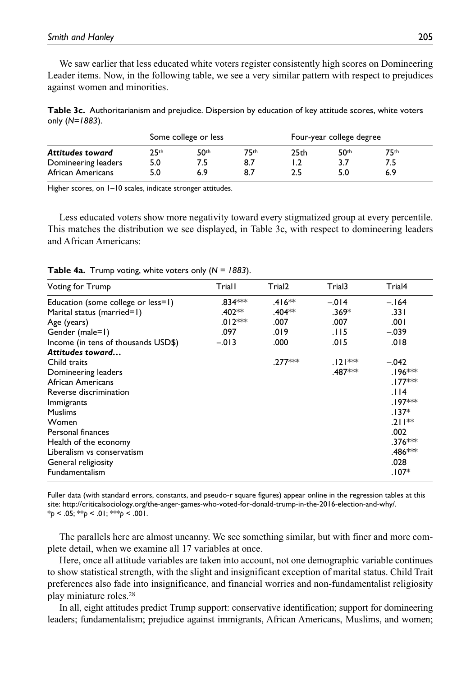We saw earlier that less educated white voters register consistently high scores on Domineering Leader items. Now, in the following table, we see a very similar pattern with respect to prejudices against women and minorities.

**Table 3c.** Authoritarianism and prejudice. Dispersion by education of key attitude scores, white voters only (*N=1883*).

|                         |      | Some college or less |             |      | Four-year college degree |                  |  |
|-------------------------|------|----------------------|-------------|------|--------------------------|------------------|--|
| <b>Attitudes toward</b> | つらth | 50 <sup>th</sup>     | <b>75th</b> | 25th | 50 <sup>th</sup>         | 75 <sup>th</sup> |  |
| Domineering leaders     | 5.0  | 7.5                  | 8.7         |      |                          | 7.5              |  |
| African Americans       | 5.0  | 6.9                  |             | 2.5  | 5.0                      | 6.9              |  |

Higher scores, on 1–10 scales, indicate stronger attitudes.

Less educated voters show more negativity toward every stigmatized group at every percentile. This matches the distribution we see displayed, in Table 3c, with respect to domineering leaders and African Americans:

| Voting for Trump                    | Triall    | Trial2   | Trial3  | Trial4              |
|-------------------------------------|-----------|----------|---------|---------------------|
| Education (some college or less=1)  | .834***   | $.416**$ | $-.014$ | $-.164$             |
| Marital status (married=1)          | $.402**$  | $.404**$ | $.369*$ | .331                |
| Age (years)                         | $.012***$ | .007     | .007    | .001                |
| Gender (male=1)                     | .097      | .019     | .115    | $-.039$             |
| Income (in tens of thousands USD\$) | $-.013$   | .000     | .015    | .018                |
| Attitudes toward                    |           |          |         |                     |
| Child traits                        |           | 277***   | .I2I*** | $-.042$             |
| Domineering leaders                 |           |          | .487*** | .196 <sup>≭≉≽</sup> |
| African Americans                   |           |          |         | $.177***$           |
| Reverse discrimination              |           |          |         | ۱۱4.                |
| <i>Immigrants</i>                   |           |          |         | .197***             |
| <b>Muslims</b>                      |           |          |         | .137*               |
| Women                               |           |          |         | .2∏**               |
| Personal finances                   |           |          |         | .002                |
| Health of the economy               |           |          |         | .376***             |
| Liberalism vs conservatism          |           |          |         | .486 <sup>***</sup> |
| General religiosity                 |           |          |         | .028                |
| Fundamentalism                      |           |          |         | .107*               |

**Table 4a.** Trump voting, white voters only (*N = 1883*).

Fuller data (with standard errors, constants, and pseudo-r square figures) appear online in the regression tables at this site: [http://criticalsociology.org/the-anger-games-who-voted-for-donald-trump-in-the-2016-election-and-why/.](http://criticalsociology.org/the-anger-games-who-voted-for-donald-trump-in-the-2016-election-and-why/) \**p* < .05; \*\**p* < .01; \*\*\**p* < .001.

The parallels here are almost uncanny. We see something similar, but with finer and more complete detail, when we examine all 17 variables at once.

Here, once all attitude variables are taken into account, not one demographic variable continues to show statistical strength, with the slight and insignificant exception of marital status. Child Trait preferences also fade into insignificance, and financial worries and non-fundamentalist religiosity play miniature roles.28

In all, eight attitudes predict Trump support: conservative identification; support for domineering leaders; fundamentalism; prejudice against immigrants, African Americans, Muslims, and women;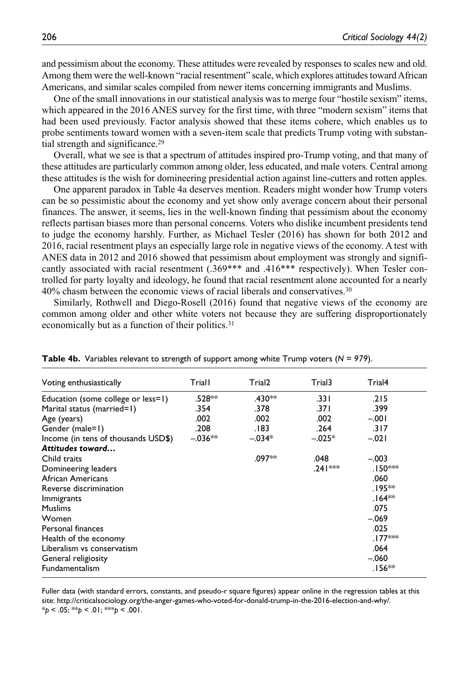and pessimism about the economy. These attitudes were revealed by responses to scales new and old. Among them were the well-known "racial resentment" scale, which explores attitudes toward African Americans, and similar scales compiled from newer items concerning immigrants and Muslims.

One of the small innovations in our statistical analysis was to merge four "hostile sexism" items, which appeared in the 2016 ANES survey for the first time, with three "modern sexism" items that had been used previously. Factor analysis showed that these items cohere, which enables us to probe sentiments toward women with a seven-item scale that predicts Trump voting with substantial strength and significance.29

Overall, what we see is that a spectrum of attitudes inspired pro-Trump voting, and that many of these attitudes are particularly common among older, less educated, and male voters. Central among these attitudes is the wish for domineering presidential action against line-cutters and rotten apples.

One apparent paradox in Table 4a deserves mention. Readers might wonder how Trump voters can be so pessimistic about the economy and yet show only average concern about their personal finances. The answer, it seems, lies in the well-known finding that pessimism about the economy reflects partisan biases more than personal concerns. Voters who dislike incumbent presidents tend to judge the economy harshly. Further, as Michael Tesler (2016) has shown for both 2012 and 2016, racial resentment plays an especially large role in negative views of the economy. A test with ANES data in 2012 and 2016 showed that pessimism about employment was strongly and significantly associated with racial resentment (.369\*\*\* and .416\*\*\* respectively). When Tesler controlled for party loyalty and ideology, he found that racial resentment alone accounted for a nearly 40% chasm between the economic views of racial liberals and conservatives.30

Similarly, Rothwell and Diego-Rosell (2016) found that negative views of the economy are common among older and other white voters not because they are suffering disproportionately economically but as a function of their politics.<sup>31</sup>

| Voting enthusiastically             | Triall    | Trial2   | Trial3   | Trial4    |
|-------------------------------------|-----------|----------|----------|-----------|
| Education (some college or less=1)  | .528**    | .430**   | .331     | .215      |
| Marital status (married=1)          | .354      | .378     | ا 37.    | .399      |
| Age (years)                         | .002      | .002     | .002     | $-.001$   |
| Gender (male=1)                     | .208      | .183     | .264     | .317      |
| Income (in tens of thousands USD\$) | $-.036**$ | $-.034*$ | $-.025*$ | $-.021$   |
| Attitudes toward                    |           |          |          |           |
| Child traits                        |           | .097**   | .048     | $-.003$   |
| Domineering leaders                 |           |          | $241***$ | $.150***$ |
| African Americans                   |           |          |          | .060      |
| Reverse discrimination              |           |          |          | .195**    |
| <i>Immigrants</i>                   |           |          |          | $.164**$  |
| <b>Muslims</b>                      |           |          |          | .075      |
| Women                               |           |          |          | $-.069$   |
| Personal finances                   |           |          |          | .025      |
| Health of the economy               |           |          |          | $.177***$ |
| Liberalism vs conservatism          |           |          |          | .064      |
| General religiosity                 |           |          |          | $-.060$   |
| Fundamentalism                      |           |          |          | $.156**$  |

**Table 4b.** Variables relevant to strength of support among white Trump voters (*N = 979*).

Fuller data (with standard errors, constants, and pseudo-r square figures) appear online in the regression tables at this site: <http://criticalsociology.org/the-anger-games-who-voted-for-donald-trump-in-the-2016-election-and-why/>*.* \**p* < .05; \*\**p* < .01; \*\*\**p* < .001.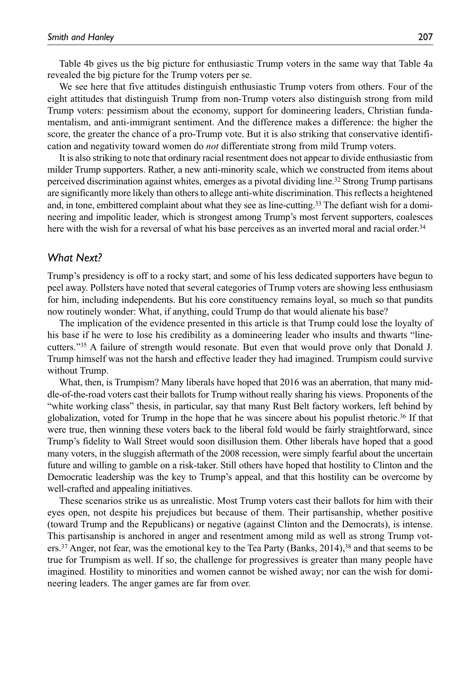Table 4b gives us the big picture for enthusiastic Trump voters in the same way that Table 4a revealed the big picture for the Trump voters per se.

We see here that five attitudes distinguish enthusiastic Trump voters from others. Four of the eight attitudes that distinguish Trump from non-Trump voters also distinguish strong from mild Trump voters: pessimism about the economy, support for domineering leaders, Christian fundamentalism, and anti-immigrant sentiment. And the difference makes a difference: the higher the score, the greater the chance of a pro-Trump vote. But it is also striking that conservative identification and negativity toward women do *not* differentiate strong from mild Trump voters.

It is also striking to note that ordinary racial resentment does not appear to divide enthusiastic from milder Trump supporters. Rather, a new anti-minority scale, which we constructed from items about perceived discrimination against whites, emerges as a pivotal dividing line.<sup>32</sup> Strong Trump partisans are significantly more likely than others to allege anti-white discrimination. This reflects a heightened and, in tone, embittered complaint about what they see as line-cutting.<sup>33</sup> The defiant wish for a domineering and impolitic leader, which is strongest among Trump's most fervent supporters, coalesces here with the wish for a reversal of what his base perceives as an inverted moral and racial order.<sup>34</sup>

## *What Next?*

Trump's presidency is off to a rocky start, and some of his less dedicated supporters have begun to peel away. Pollsters have noted that several categories of Trump voters are showing less enthusiasm for him, including independents. But his core constituency remains loyal, so much so that pundits now routinely wonder: What, if anything, could Trump do that would alienate his base?

The implication of the evidence presented in this article is that Trump could lose the loyalty of his base if he were to lose his credibility as a domineering leader who insults and thwarts "linecutters."35 A failure of strength would resonate. But even that would prove only that Donald J. Trump himself was not the harsh and effective leader they had imagined. Trumpism could survive without Trump.

What, then, is Trumpism? Many liberals have hoped that 2016 was an aberration, that many middle-of-the-road voters cast their ballots for Trump without really sharing his views. Proponents of the "white working class" thesis, in particular, say that many Rust Belt factory workers, left behind by globalization, voted for Trump in the hope that he was sincere about his populist rhetoric.36 If that were true, then winning these voters back to the liberal fold would be fairly straightforward, since Trump's fidelity to Wall Street would soon disillusion them. Other liberals have hoped that a good many voters, in the sluggish aftermath of the 2008 recession, were simply fearful about the uncertain future and willing to gamble on a risk-taker. Still others have hoped that hostility to Clinton and the Democratic leadership was the key to Trump's appeal, and that this hostility can be overcome by well-crafted and appealing initiatives.

These scenarios strike us as unrealistic. Most Trump voters cast their ballots for him with their eyes open, not despite his prejudices but because of them. Their partisanship, whether positive (toward Trump and the Republicans) or negative (against Clinton and the Democrats), is intense. This partisanship is anchored in anger and resentment among mild as well as strong Trump voters.<sup>37</sup> Anger, not fear, was the emotional key to the Tea Party (Banks, 2014),<sup>38</sup> and that seems to be true for Trumpism as well. If so, the challenge for progressives is greater than many people have imagined. Hostility to minorities and women cannot be wished away; nor can the wish for domineering leaders. The anger games are far from over.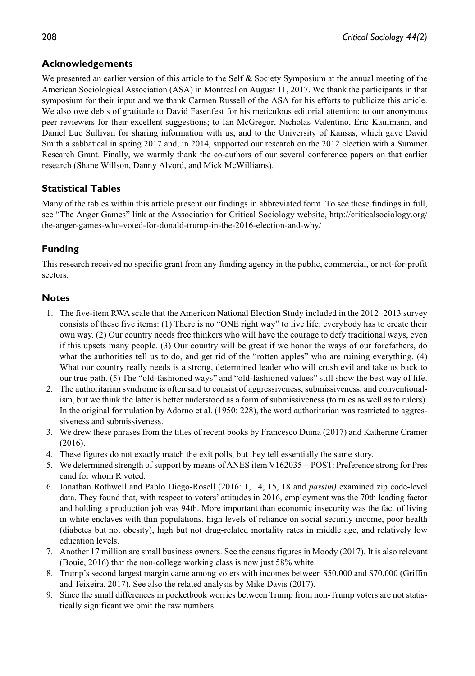## **Acknowledgements**

We presented an earlier version of this article to the Self & Society Symposium at the annual meeting of the American Sociological Association (ASA) in Montreal on August 11, 2017. We thank the participants in that symposium for their input and we thank Carmen Russell of the ASA for his efforts to publicize this article. We also owe debts of gratitude to David Fasenfest for his meticulous editorial attention; to our anonymous peer reviewers for their excellent suggestions; to Ian McGregor, Nicholas Valentino, Eric Kaufmann, and Daniel Luc Sullivan for sharing information with us; and to the University of Kansas, which gave David Smith a sabbatical in spring 2017 and, in 2014, supported our research on the 2012 election with a Summer Research Grant. Finally, we warmly thank the co-authors of our several conference papers on that earlier research (Shane Willson, Danny Alvord, and Mick McWilliams).

# **Statistical Tables**

Many of the tables within this article present our findings in abbreviated form. To see these findings in full, see "The Anger Games" link at the Association for Critical Sociology website, [http://criticalsociology.org/](http://criticalsociology.org/the-anger-games-who-voted-for-donald-trump-in-the-2016-election-and-why/) [the-anger-games-who-voted-for-donald-trump-in-the-2016-election-and-why/](http://criticalsociology.org/the-anger-games-who-voted-for-donald-trump-in-the-2016-election-and-why/)

# **Funding**

This research received no specific grant from any funding agency in the public, commercial, or not-for-profit sectors.

# **Notes**

- 1. The five-item RWA scale that the American National Election Study included in the 2012–2013 survey consists of these five items: (1) There is no "ONE right way" to live life; everybody has to create their own way. (2) Our country needs free thinkers who will have the courage to defy traditional ways, even if this upsets many people. (3) Our country will be great if we honor the ways of our forefathers, do what the authorities tell us to do, and get rid of the "rotten apples" who are ruining everything. (4) What our country really needs is a strong, determined leader who will crush evil and take us back to our true path. (5) The "old-fashioned ways" and "old-fashioned values" still show the best way of life.
- 2. The authoritarian syndrome is often said to consist of aggressiveness, submissiveness, and conventionalism, but we think the latter is better understood as a form of submissiveness (to rules as well as to rulers). In the original formulation by Adorno et al. (1950: 228), the word authoritarian was restricted to aggressiveness and submissiveness.
- 3. We drew these phrases from the titles of recent books by Francesco Duina (2017) and Katherine Cramer (2016).
- 4. These figures do not exactly match the exit polls, but they tell essentially the same story.
- 5. We determined strength of support by means of ANES item V162035—POST: Preference strong for Pres cand for whom R voted.
- 6. Jonathan Rothwell and Pablo Diego-Rosell (2016: 1, 14, 15, 18 and *passim)* examined zip code-level data. They found that, with respect to voters' attitudes in 2016, employment was the 70th leading factor and holding a production job was 94th. More important than economic insecurity was the fact of living in white enclaves with thin populations, high levels of reliance on social security income, poor health (diabetes but not obesity), high but not drug-related mortality rates in middle age, and relatively low education levels.
- 7. Another 17 million are small business owners. See the census figures in Moody (2017). It is also relevant (Bouie, 2016) that the non-college working class is now just 58% white.
- 8. Trump's second largest margin came among voters with incomes between \$50,000 and \$70,000 (Griffin and Teixeira, 2017). See also the related analysis by Mike Davis (2017).
- 9. Since the small differences in pocketbook worries between Trump from non-Trump voters are not statistically significant we omit the raw numbers.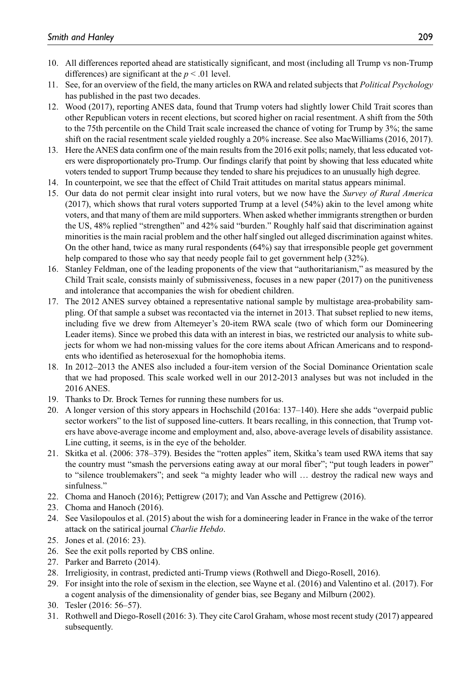- 10. All differences reported ahead are statistically significant, and most (including all Trump vs non-Trump differences) are significant at the  $p < .01$  level.
- 11. See, for an overview of the field, the many articles on RWA and related subjects that *Political Psychology* has published in the past two decades.
- 12. Wood (2017), reporting ANES data, found that Trump voters had slightly lower Child Trait scores than other Republican voters in recent elections, but scored higher on racial resentment. A shift from the 50th to the 75th percentile on the Child Trait scale increased the chance of voting for Trump by 3%; the same shift on the racial resentment scale yielded roughly a 20% increase. See also MacWilliams (2016, 2017).
- 13. Here the ANES data confirm one of the main results from the 2016 exit polls; namely, that less educated voters were disproportionately pro-Trump. Our findings clarify that point by showing that less educated white voters tended to support Trump because they tended to share his prejudices to an unusually high degree.
- 14. In counterpoint, we see that the effect of Child Trait attitudes on marital status appears minimal.
- 15. Our data do not permit clear insight into rural voters, but we now have the *Survey of Rural America* (2017), which shows that rural voters supported Trump at a level (54%) akin to the level among white voters, and that many of them are mild supporters. When asked whether immigrants strengthen or burden the US, 48% replied "strengthen" and 42% said "burden." Roughly half said that discrimination against minorities is the main racial problem and the other half singled out alleged discrimination against whites. On the other hand, twice as many rural respondents (64%) say that irresponsible people get government help compared to those who say that needy people fail to get government help (32%).
- 16. Stanley Feldman, one of the leading proponents of the view that "authoritarianism," as measured by the Child Trait scale, consists mainly of submissiveness, focuses in a new paper (2017) on the punitiveness and intolerance that accompanies the wish for obedient children.
- 17. The 2012 ANES survey obtained a representative national sample by multistage area-probability sampling. Of that sample a subset was recontacted via the internet in 2013. That subset replied to new items, including five we drew from Altemeyer's 20-item RWA scale (two of which form our Domineering Leader items). Since we probed this data with an interest in bias, we restricted our analysis to white subjects for whom we had non-missing values for the core items about African Americans and to respondents who identified as heterosexual for the homophobia items.
- 18. In 2012–2013 the ANES also included a four-item version of the Social Dominance Orientation scale that we had proposed. This scale worked well in our 2012-2013 analyses but was not included in the 2016 ANES.
- 19. Thanks to Dr. Brock Ternes for running these numbers for us.
- 20. A longer version of this story appears in Hochschild (2016a: 137–140). Here she adds "overpaid public sector workers" to the list of supposed line-cutters. It bears recalling, in this connection, that Trump voters have above-average income and employment and, also, above-average levels of disability assistance. Line cutting, it seems, is in the eye of the beholder.
- 21. Skitka et al. (2006: 378–379). Besides the "rotten apples" item, Skitka's team used RWA items that say the country must "smash the perversions eating away at our moral fiber"; "put tough leaders in power" to "silence troublemakers"; and seek "a mighty leader who will … destroy the radical new ways and sinfulness."
- 22. Choma and Hanoch (2016); Pettigrew (2017); and Van Assche and Pettigrew (2016).
- 23. Choma and Hanoch (2016).
- 24. See Vasilopoulos et al. (2015) about the wish for a domineering leader in France in the wake of the terror attack on the satirical journal *Charlie Hebdo*.
- 25. Jones et al. (2016: 23).
- 26. See the exit polls reported by CBS online.
- 27. Parker and Barreto (2014).
- 28. Irreligiosity, in contrast, predicted anti-Trump views (Rothwell and Diego-Rosell, 2016).
- 29. For insight into the role of sexism in the election, see Wayne et al. (2016) and Valentino et al. (2017). For a cogent analysis of the dimensionality of gender bias, see Begany and Milburn (2002).
- 30. Tesler (2016: 56–57).
- 31. Rothwell and Diego-Rosell (2016: 3). They cite Carol Graham, whose most recent study (2017) appeared subsequently.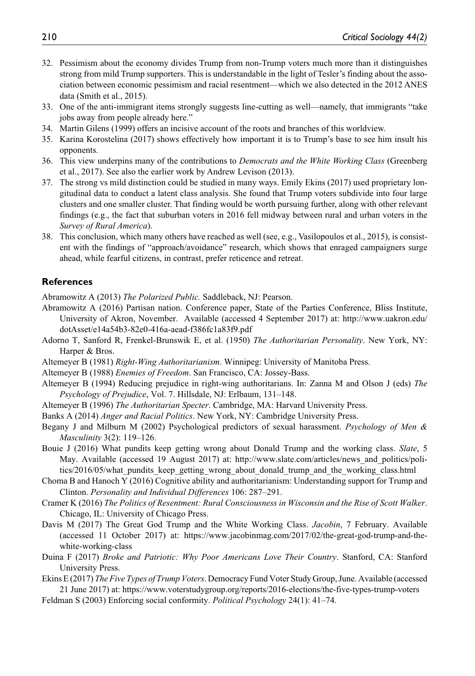- 32. Pessimism about the economy divides Trump from non-Trump voters much more than it distinguishes strong from mild Trump supporters. This is understandable in the light of Tesler's finding about the association between economic pessimism and racial resentment—which we also detected in the 2012 ANES data (Smith et al., 2015).
- 33. One of the anti-immigrant items strongly suggests line-cutting as well—namely, that immigrants "take jobs away from people already here."
- 34. Martin Gilens (1999) offers an incisive account of the roots and branches of this worldview.
- 35. Karina Korostelina (2017) shows effectively how important it is to Trump's base to see him insult his opponents.
- 36. This view underpins many of the contributions to *Democrats and the White Working Class* (Greenberg et al., 2017). See also the earlier work by Andrew Levison (2013).
- 37. The strong vs mild distinction could be studied in many ways. Emily Ekins (2017) used proprietary longitudinal data to conduct a latent class analysis. She found that Trump voters subdivide into four large clusters and one smaller cluster. That finding would be worth pursuing further, along with other relevant findings (e.g., the fact that suburban voters in 2016 fell midway between rural and urban voters in the *Survey of Rural America*).
- 38. This conclusion, which many others have reached as well (see, e.g., Vasilopoulos et al., 2015), is consistent with the findings of "approach/avoidance" research, which shows that enraged campaigners surge ahead, while fearful citizens, in contrast, prefer reticence and retreat.

#### **References**

Abramowitz A (2013) *The Polarized Public.* Saddleback, NJ: Pearson.

- Abramowitz A (2016) Partisan nation. Conference paper, State of the Parties Conference, Bliss Institute, University of Akron, November. Available (accessed 4 September 2017) at: [http://www.uakron.edu/](http://www.uakron.edu/dotAsset/e14a54b3-82e0-416a-aead-f386fc1a83f9.pdf) [dotAsset/e14a54b3-82e0-416a-aead-f386fc1a83f9.pdf](http://www.uakron.edu/dotAsset/e14a54b3-82e0-416a-aead-f386fc1a83f9.pdf)
- Adorno T, Sanford R, Frenkel-Brunswik E, et al. (1950) *The Authoritarian Personality*. New York, NY: Harper & Bros.
- Altemeyer B (1981) *Right-Wing Authoritarianism*. Winnipeg: University of Manitoba Press.
- Altemeyer B (1988) *Enemies of Freedom*. San Francisco, CA: Jossey-Bass.
- Altemeyer B (1994) Reducing prejudice in right-wing authoritarians. In: Zanna M and Olson J (eds) *The Psychology of Prejudice*, Vol. 7. Hillsdale, NJ: Erlbaum, 131–148.
- Altemeyer B (1996) *The Authoritarian Specter*. Cambridge, MA: Harvard University Press.

Banks A (2014) *Anger and Racial Politics*. New York, NY: Cambridge University Press.

- Begany J and Milburn M (2002) Psychological predictors of sexual harassment. *Psychology of Men & Masculinity* 3(2): 119–126.
- Bouie J (2016) What pundits keep getting wrong about Donald Trump and the working class. *Slate*, 5 May. Available (accessed 19 August 2017) at: [http://www.slate.com/articles/news\\_and\\_politics/poli](http://www.slate.com/articles/news_and_politics/politics/2016/05/what_pundits_keep_getting_wrong_about_donald_trump_and_the_working_class.html)tics/2016/05/what pundits keep getting wrong about donald trump and the working class.html
- Choma B and Hanoch Y (2016) Cognitive ability and authoritarianism: Understanding support for Trump and Clinton. *Personality and Individual Differences* 106: 287–291.
- Cramer K (2016) *The Politics of Resentment: Rural Consciousness in Wisconsin and the Rise of Scott Walker*. Chicago, IL: University of Chicago Press.
- Davis M (2017) The Great God Trump and the White Working Class. *Jacobin*, 7 February. Available (accessed 11 October 2017) at: [https://www.jacobinmag.com/2017/02/the-great-god-trump-and-the](https://www.jacobinmag.com/2017/02/the-great-god-trump-and-the-white-working-class)[white-working-class](https://www.jacobinmag.com/2017/02/the-great-god-trump-and-the-white-working-class)
- Duina F (2017) *Broke and Patriotic: Why Poor Americans Love Their Country*. Stanford, CA: Stanford University Press.
- Ekins E (2017) *The Five Types of Trump Voters*. Democracy Fund Voter Study Group, June. Available (accessed 21 June 2017) at:<https://www.voterstudygroup.org/reports/2016-elections/the-five-types-trump-voters>
- Feldman S (2003) Enforcing social conformity. *Political Psychology* 24(1): 41–74.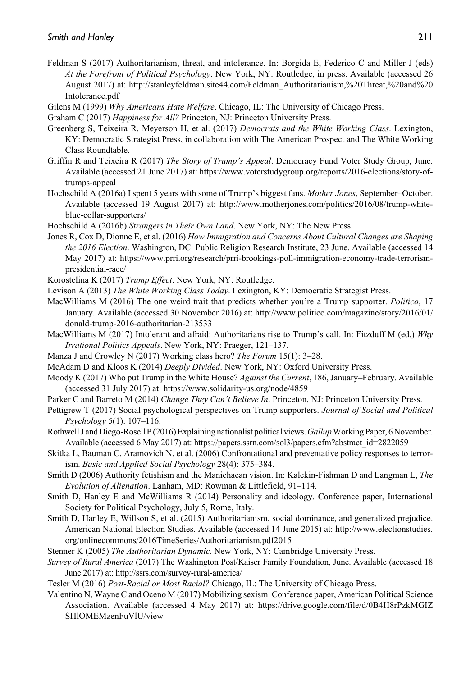- Feldman S (2017) Authoritarianism, threat, and intolerance. In: Borgida E, Federico C and Miller J (eds) *At the Forefront of Political Psychology*. New York, NY: Routledge, in press. Available (accessed 26 August 2017) at: [http://stanleyfeldman.site44.com/Feldman\\_Authoritarianism,%20Threat,%20and%20](http://stanleyfeldman.site44.com/Feldman_Authoritarianism,%20Threat,%20and%20Intolerance.pdf) [Intolerance.pdf](http://stanleyfeldman.site44.com/Feldman_Authoritarianism,%20Threat,%20and%20Intolerance.pdf)
- Gilens M (1999) *Why Americans Hate Welfare*. Chicago, IL: The University of Chicago Press.
- Graham C (2017) *Happiness for All?* Princeton, NJ: Princeton University Press.
- Greenberg S, Teixeira R, Meyerson H, et al. (2017) *Democrats and the White Working Class*. Lexington, KY: Democratic Strategist Press, in collaboration with The American Prospect and The White Working Class Roundtable.
- Griffin R and Teixeira R (2017) *The Story of Trump's Appeal*. Democracy Fund Voter Study Group, June. Available (accessed 21 June 2017) at: [https://www.voterstudygroup.org/reports/2016-elections/story-of](https://www.voterstudygroup.org/reports/2016-elections/story-of-trumps-appeal)[trumps-appeal](https://www.voterstudygroup.org/reports/2016-elections/story-of-trumps-appeal)
- Hochschild A (2016a) I spent 5 years with some of Trump's biggest fans. *Mother Jones*, September–October. Available (accessed 19 August 2017) at: [http://www.motherjones.com/politics/2016/08/trump-white](http://www.motherjones.com/politics/2016/08/trump-white-blue-collar-supporters/)[blue-collar-supporters/](http://www.motherjones.com/politics/2016/08/trump-white-blue-collar-supporters/)
- Hochschild A (2016b) *Strangers in Their Own Land*. New York, NY: The New Press.
- Jones R, Cox D, Dionne E, et al. (2016) *How Immigration and Concerns About Cultural Changes are Shaping the 2016 Election*. Washington, DC: Public Religion Research Institute, 23 June. Available (accessed 14 May 2017) at: [https://www.prri.org/research/prri-brookings-poll-immigration-economy-trade-terrorism](https://www.prri.org/research/prri-brookings-poll-immigration-economy-trade-terrorism-presidential-race/)[presidential-race/](https://www.prri.org/research/prri-brookings-poll-immigration-economy-trade-terrorism-presidential-race/)
- Korostelina K (2017) *Trump Effect*. New York, NY: Routledge.
- Levison A (2013) *The White Working Class Today*. Lexington, KY: Democratic Strategist Press.
- MacWilliams M (2016) The one weird trait that predicts whether you're a Trump supporter. *Politico*, 17 January. Available (accessed 30 November 2016) at: [http://www.politico.com/magazine/story/2016/01/](http://www.politico.com/magazine/story/2016/01/donald-trump-2016-authoritarian-213533) [donald-trump-2016-authoritarian-213533](http://www.politico.com/magazine/story/2016/01/donald-trump-2016-authoritarian-213533)
- MacWilliams M (2017) Intolerant and afraid: Authoritarians rise to Trump's call. In: Fitzduff M (ed.) *Why Irrational Politics Appeals*. New York, NY: Praeger, 121–137.
- Manza J and Crowley N (2017) Working class hero? *The Forum* 15(1): 3–28.
- McAdam D and Kloos K (2014) *Deeply Divided*. New York, NY: Oxford University Press.
- Moody K (2017) Who put Trump in the White House? *Against the Current*, 186, January–February. Available (accessed 31 July 2017) at: <https://www.solidarity-us.org/node/4859>
- Parker C and Barreto M (2014) *Change They Can't Believe In*. Princeton, NJ: Princeton University Press.
- Pettigrew T (2017) Social psychological perspectives on Trump supporters. *Journal of Social and Political Psychology* 5(1): 107–116.
- Rothwell J and Diego-Rosell P (2016) Explaining nationalist political views. *Gallup* Working Paper, 6 November. Available (accessed 6 May 2017) at: [https://papers.ssrn.com/sol3/papers.cfm?abstract\\_id=2822059](https://papers.ssrn.com/sol3/papers.cfm?abstract_id=2822059)
- Skitka L, Bauman C, Aramovich N, et al. (2006) Confrontational and preventative policy responses to terrorism. *Basic and Applied Social Psychology* 28(4): 375–384.
- Smith D (2006) Authority fetishism and the Manichaean vision. In: Kalekin-Fishman D and Langman L, *The Evolution of Alienation*. Lanham, MD: Rowman & Littlefield, 91–114.
- Smith D, Hanley E and McWilliams R (2014) Personality and ideology. Conference paper, International Society for Political Psychology, July 5, Rome, Italy.
- Smith D, Hanley E, Willson S, et al. (2015) Authoritarianism, social dominance, and generalized prejudice. American National Election Studies. Available (accessed 14 June 2015) at: [http://www.electionstudies.](http://www.electionstudies.org/onlinecommons/2016TimeSeries/Authoritarianism.pdf2015) [org/onlinecommons/2016TimeSeries/Authoritarianism.pdf2015](http://www.electionstudies.org/onlinecommons/2016TimeSeries/Authoritarianism.pdf2015)
- Stenner K (2005) *The Authoritarian Dynamic*. New York, NY: Cambridge University Press.
- *Survey of Rural America* (2017) The Washington Post/Kaiser Family Foundation, June. Available (accessed 18 June 2017) at:<http://ssrs.com/survey-rural-america/>
- Tesler M (2016) *Post-Racial or Most Racial?* Chicago, IL: The University of Chicago Press.
- Valentino N, Wayne C and Oceno M (2017) Mobilizing sexism. Conference paper, American Political Science Association. Available (accessed 4 May 2017) at: [https://drive.google.com/file/d/0B4H8rPzkMGIZ](https://drive.google.com/file/d/0B4H8rPzkMGIZ
SHlOMEMzenFuVlU/view) [SHlOMEMzenFuVlU/view](https://drive.google.com/file/d/0B4H8rPzkMGIZ
SHlOMEMzenFuVlU/view)